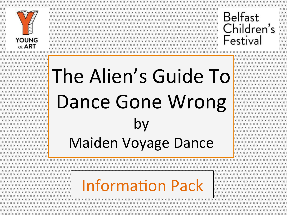

**\* \* \* \* \* \* \* \* \* \* \* \* \* \* \* \* \* \* \* \* \* \* \* \* \* \* \* \* \* \* \* \* \* \* \*** 



**XX** 

x x i

 $*$ 

 $x x$ 

(××

 $x x$ 

X X

 $x x j$ 

X X

x x i

 $x \times 1$ 

# The Alien's Guide To Dance Gone Wrong by Maiden Voyage Dance

## **Information Pack**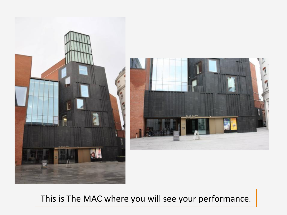

This is The MAC where you will see your performance.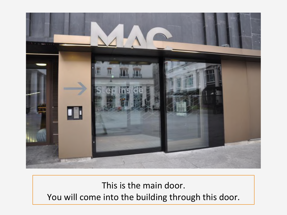

## This is the main door. You will come into the building through this door.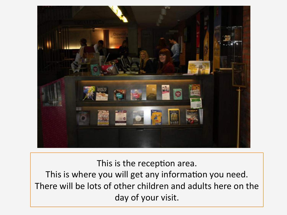

This is the reception area. This is where you will get any information you need. There will be lots of other children and adults here on the day of your visit.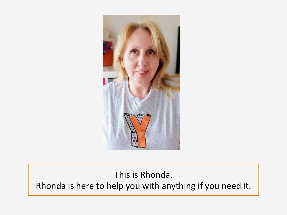

## This is Rhonda. Rhonda is here to help you with anything if you need it.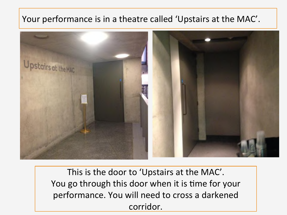#### Your performance is in a theatre called 'Upstairs at the MAC'.



This is the door to 'Upstairs at the MAC'. You go through this door when it is time for your performance. You will need to cross a darkened corridor.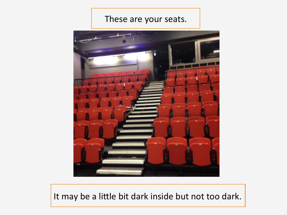#### These are your seats.



It may be a little bit dark inside but not too dark.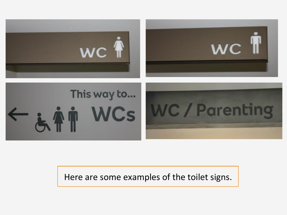

#### Here are some examples of the toilet signs.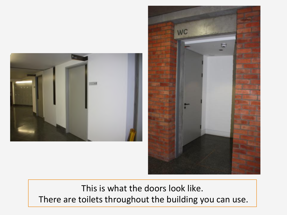



This is what the doors look like. There are toilets throughout the building you can use.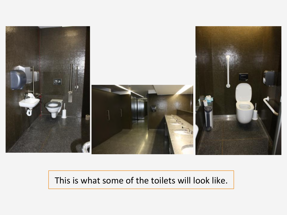

## This is what some of the toilets will look like.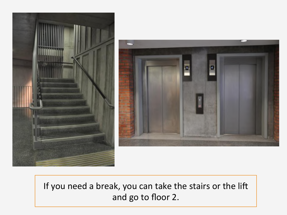



If you need a break, you can take the stairs or the lift and go to floor 2.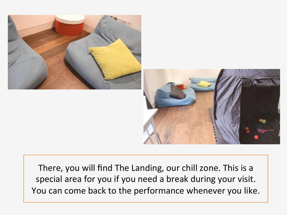

There, you will find The Landing, our chill zone. This is a special area for you if you need a break during your visit. You can come back to the performance whenever you like.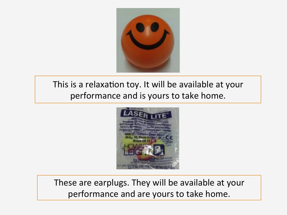

## This is a relaxation toy. It will be available at your performance and is yours to take home.



These are earplugs. They will be available at your performance and are yours to take home.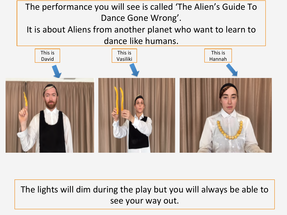

The lights will dim during the play but you will always be able to see your way out.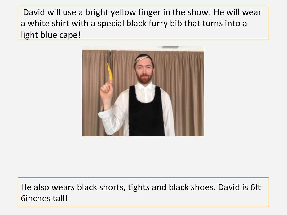David will use a bright yellow finger in the show! He will wear a white shirt with a special black furry bib that turns into a light blue cape!



He also wears black shorts, tights and black shoes. David is 6ft 6inches tall!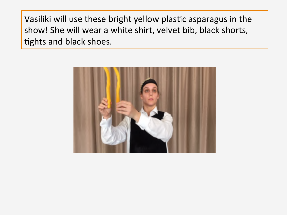Vasiliki will use these bright yellow plastic asparagus in the show! She will wear a white shirt, velvet bib, black shorts, tights and black shoes.

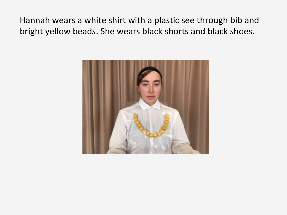Hannah wears a white shirt with a plastic see through bib and bright yellow beads. She wears black shorts and black shoes.

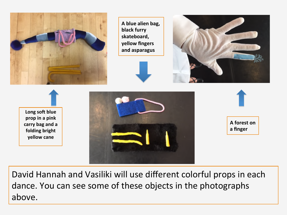

A blue alien bag, **black furry**  skateboard, **yellow fingers and asparagus** 





Long soft blue prop in a pink carry bag and a **folding** bright **yellow cane**





**A** forest on **a finger** 

David Hannah and Vasiliki will use different colorful props in each dance. You can see some of these objects in the photographs above.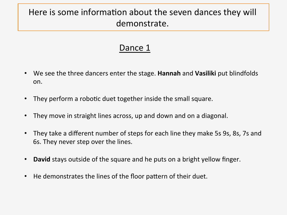## Here is some information about the seven dances they will demonstrate.

- We see the three dancers enter the stage. **Hannah** and **Vasiliki** put blindfolds on.
- They perform a robotic duet together inside the small square.
- They move in straight lines across, up and down and on a diagonal.
- They take a different number of steps for each line they make 5s 9s, 8s, 7s and 6s. They never step over the lines.
- **David** stays outside of the square and he puts on a bright yellow finger.
- He demonstrates the lines of the floor pattern of their duet.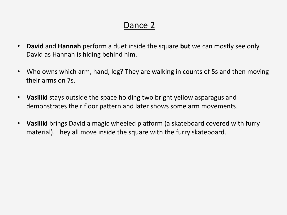- **David** and **Hannah** perform a duet inside the square **but** we can mostly see only David as Hannah is hiding behind him.
- Who owns which arm, hand, leg? They are walking in counts of 5s and then moving their arms on 7s.
- Vasiliki stays outside the space holding two bright yellow asparagus and demonstrates their floor pattern and later shows some arm movements.
- Vasiliki brings David a magic wheeled platform (a skateboard covered with furry material). They all move inside the square with the furry skateboard.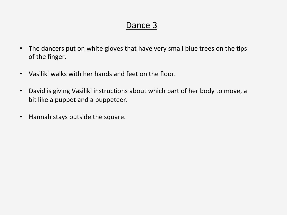- The dancers put on white gloves that have very small blue trees on the tips of the finger.
- Vasiliki walks with her hands and feet on the floor.
- David is giving Vasiliki instructions about which part of her body to move, a bit like a puppet and a puppeteer.
- Hannah stays outside the square.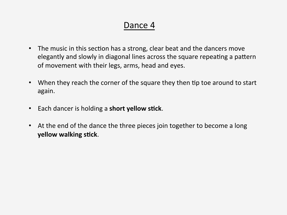- The music in this section has a strong, clear beat and the dancers move elegantly and slowly in diagonal lines across the square repeating a pattern of movement with their legs, arms, head and eyes.
- When they reach the corner of the square they then tip toe around to start again.
- Each dancer is holding a **short yellow stick**.
- At the end of the dance the three pieces join together to become a long **yellow walking stick.**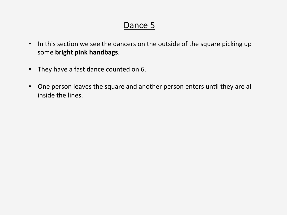- In this section we see the dancers on the outside of the square picking up some **bright pink handbags**.
- They have a fast dance counted on 6.
- One person leaves the square and another person enters until they are all inside the lines.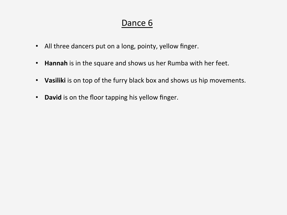- All three dancers put on a long, pointy, yellow finger.
- Hannah is in the square and shows us her Rumba with her feet.
- Vasiliki is on top of the furry black box and shows us hip movements.
- David is on the floor tapping his yellow finger.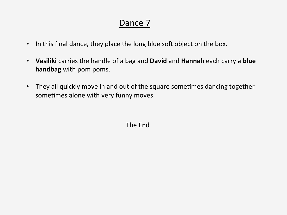- In this final dance, they place the long blue soft object on the box.
- Vasiliki carries the handle of a bag and David and Hannah each carry a blue **handbag** with pom poms.
- They all quickly move in and out of the square sometimes dancing together sometimes alone with very funny moves.

The End